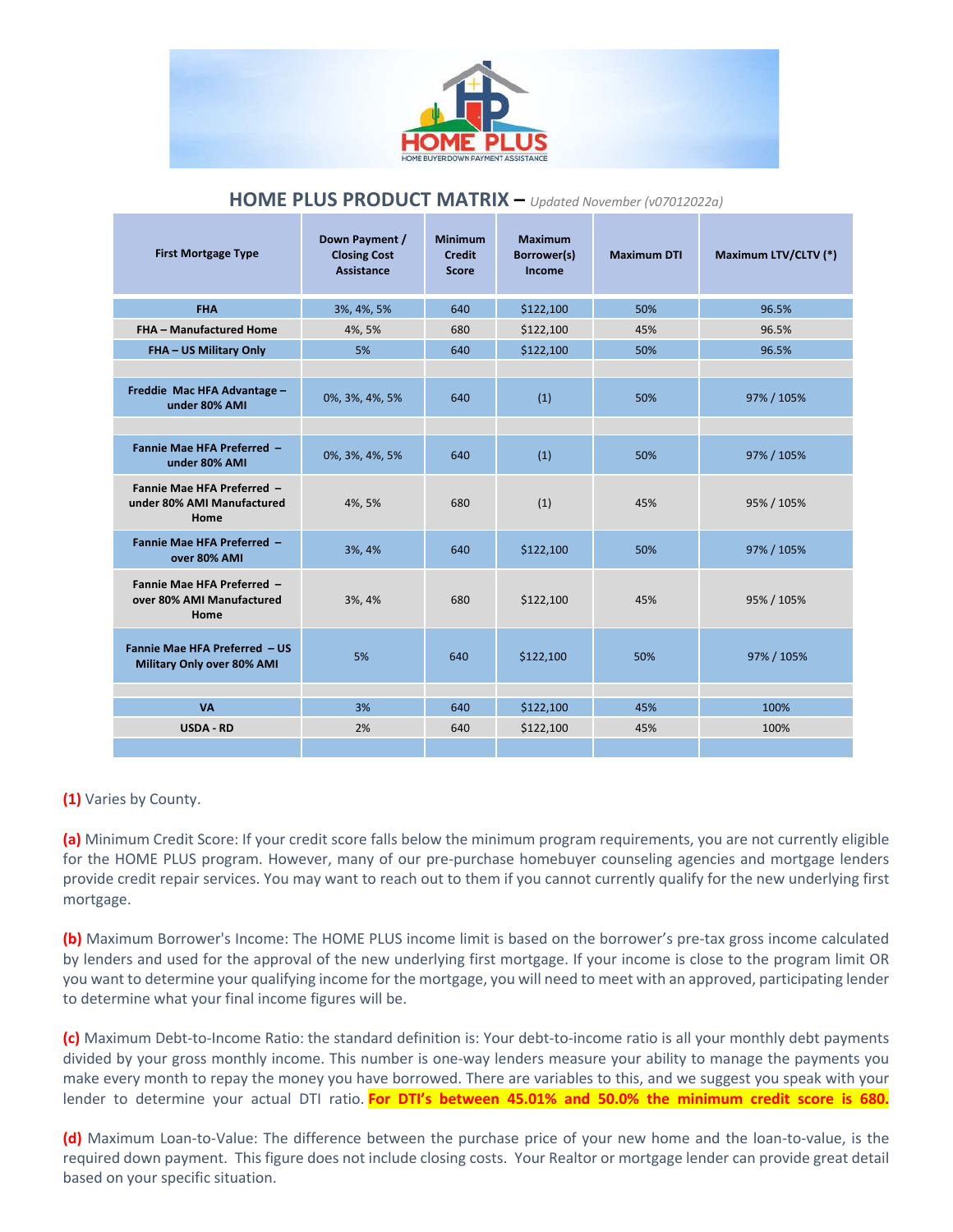

| <b>First Mortgage Type</b>                                       | Down Payment /<br><b>Closing Cost</b><br><b>Assistance</b> | <b>Minimum</b><br><b>Credit</b><br><b>Score</b> | Maximum<br>Borrower(s)<br>Income | <b>Maximum DTI</b> | Maximum LTV/CLTV (*) |
|------------------------------------------------------------------|------------------------------------------------------------|-------------------------------------------------|----------------------------------|--------------------|----------------------|
| <b>FHA</b>                                                       | 3%, 4%, 5%                                                 | 640                                             | \$122,100                        | 50%                | 96.5%                |
| <b>FHA - Manufactured Home</b>                                   | 4%, 5%                                                     | 680                                             | \$122,100                        | 45%                | 96.5%                |
| FHA - US Military Only                                           | 5%                                                         | 640                                             | \$122,100                        | 50%                | 96.5%                |
|                                                                  |                                                            |                                                 |                                  |                    |                      |
| Freddie Mac HFA Advantage -<br>under 80% AMI                     | 0%, 3%, 4%, 5%                                             | 640                                             | (1)                              | 50%                | 97% / 105%           |
|                                                                  |                                                            |                                                 |                                  |                    |                      |
| Fannie Mae HFA Preferred -<br>under 80% AMI                      | 0%, 3%, 4%, 5%                                             | 640                                             | (1)                              | 50%                | 97% / 105%           |
| Fannie Mae HFA Preferred -<br>under 80% AMI Manufactured<br>Home | 4%, 5%                                                     | 680                                             | (1)                              | 45%                | 95% / 105%           |
| Fannie Mae HFA Preferred -<br>over 80% AMI                       | 3%, 4%                                                     | 640                                             | \$122,100                        | 50%                | 97% / 105%           |
| Fannie Mae HFA Preferred -<br>over 80% AMI Manufactured<br>Home  | 3%, 4%                                                     | 680                                             | \$122,100                        | 45%                | 95% / 105%           |
| Fannie Mae HFA Preferred - US<br>Military Only over 80% AMI      | 5%                                                         | 640                                             | \$122,100                        | 50%                | 97% / 105%           |
|                                                                  |                                                            |                                                 |                                  |                    |                      |
| <b>VA</b>                                                        | 3%                                                         | 640                                             | \$122,100                        | 45%                | 100%                 |
| <b>USDA - RD</b>                                                 | 2%                                                         | 640                                             | \$122,100                        | 45%                | 100%                 |
|                                                                  |                                                            |                                                 |                                  |                    |                      |

## **HOME PLUS PRODUCT MATRIX –** *Updated November (v07012022a)*

**(1)** Varies by County.

**(a)** Minimum Credit Score: If your credit score falls below the minimum program requirements, you are not currently eligible for the HOME PLUS program. However, many of our pre-purchase homebuyer counseling agencies and mortgage lenders provide credit repair services. You may want to reach out to them if you cannot currently qualify for the new underlying first mortgage.

**(b)** Maximum Borrower's Income: The HOME PLUS income limit is based on the borrower's pre-tax gross income calculated by lenders and used for the approval of the new underlying first mortgage. If your income is close to the program limit OR you want to determine your qualifying income for the mortgage, you will need to meet with an approved, participating lender to determine what your final income figures will be.

**(c)** Maximum Debt-to-Income Ratio: the standard definition is: Your debt-to-income ratio is all your monthly debt payments divided by your gross monthly income. This number is one-way lenders measure your ability to manage the payments you make every month to repay the money you have borrowed. There are variables to this, and we suggest you speak with your lender to determine your actual DTI ratio. **For DTI's between 45.01% and 50.0% the minimum credit score is 680.**

**(d)** Maximum Loan-to-Value: The difference between the purchase price of your new home and the loan-to-value, is the required down payment. This figure does not include closing costs. Your Realtor or mortgage lender can provide great detail based on your specific situation.